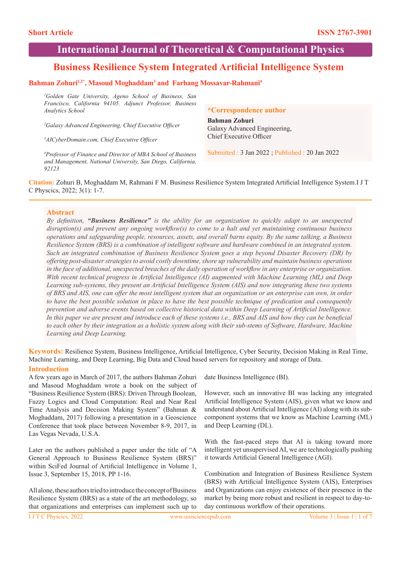# **International Journal of Theoretical & Computational Physics**

# **Business Resilience System Integrated Artificial Intelligence System**

# Bahman Zohuri<sup>1,2\*</sup>, Masoud Moghaddam<sup>3</sup> and Farhang Mossavar-Rahmani<sup>4</sup>

*1 Golden Gate University, Ageno School of Business, San Francisco, California 94105. Adjunct Professor, Business Analytics School* 

*2 Galaxy Advanced Engineering, Chief Executive Officer*

*3 AICyberDomain.com, Chief Executive Officer*

*4 Professor of Finance and Director of MBA School of Business and Management, National University, San Diego, California, 92123*

#### **\*Correspondence author**

**Bahman Zohuri** Galaxy Advanced Engineering, Chief Executive Officer

Submitted : 3 Jan 2022 ; Published : 20 Jan 2022

**Citation:** Zohuri B, Moghaddam M, Rahmani F M. Business Resilience System Integrated Artificial Intelligence System.I J T C Physcics, 2022; 3(1): 1-7.

#### **Abstract**

*By definition, "Business Resilience" is the ability for an organization to quickly adapt to an unexpected disruption(s) and prevent any ongoing workflow(s) to come to a halt and yet maintaining continuous business operations and safeguarding people, resources, assets, and overall barns equity. By the same talking, a Business Resilience System (BRS) is a combination of intelligent software and hardware combined in an integrated system. Such an integrated combination of Business Resilience System goes a step beyond Disaster Recovery (DR) by offering post-disaster strategies to avoid costly downtime, shore up vulnerability and maintain business operations in the face of additional, unexpected breaches of the daily operation of workflow in any enterprise or organization. With recent technical progress in Artificial Intelligence (AI) augmented with Machine Learning (ML) and Deep Learning sub-systems, they present an Artificial Intelligence System (AIS) and now integrating these two systems of BRS and AIS, one can offer the most intelligent system that an organization or an enterprise can own, in order to have the best possible solution in place to have the best possible technique of predication and consequently prevention and adverse events based on collective historical data within Deep Learning of Artificial Intelligence.*  In this paper we are present and introduce each of these systems *i.e., BRS and AIS and how they can be beneficial to each other by their integration as a holistic system along with their sub-stems of Software, Hardware, Machine Learning and Deep Learning.*

**Keywords:** Resilience System, Business Intelligence, Artificial Intelligence, Cyber Security, Decision Making in Real Time, Machine Learning, and Deep Learning, Big Data and Cloud based servers for repository and storage of Data. **Introduction**

A few years ago in March of 2017, the authors Bahman Zohuri and Masoud Moghaddam wrote a book on the subject of "Business Resilience System (BRS): Driven Through Boolean, Fuzzy Logics and Cloud Computation: Real and Near Real Time Analysis and Decision Making System" (Bahman & Moghaddam, 2017) following a presentation in a Geoscience Conference that took place between November 8-9, 2017, in Las Vegas Nevada, U.S.A.

Later on the authors published a paper under the title of "A General Approach to Business Resilience System (BRS)" within SciFed Journal of Artificial Intelligence in Volume 1, Issue 3, September 15, 2018, PP 1-16.

All alone, these authors tried to introduce the concept of Business Resilience System (BRS) as a state of the art methodology, so that organizations and enterprises can implement such up to date Business Intelligence (BI).

However, such an innovative BI was lacking any integrated Artificial Intelligence System (AIS), given what we know and understand about Artificial Intelligence (AI) along with its subcomponent systems that we know as Machine Learning (ML) and Deep Learning (DL).

With the fast-paced steps that AI is taking toward more intelligent yet unsupervised AI, we are technologically pushing it towards Artificial General Intelligence (AGI).

Combination and Integration of Business Resilience System (BRS) with Artificial Intelligence System (AIS), Enterprises and Organizations can enjoy existence of their presence in the market by being more robust and resilient in respect to day-today continuous workflow of their operations.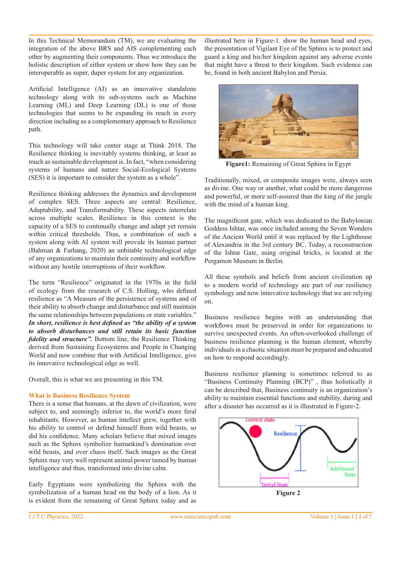In this Technical Memorandum (TM), we are evaluating the integration of the above BRS and AIS complementing each other by augmenting their components. Thus we introduce the holistic description of either system or show how they can be interoperable as super, duper system for any organization.

Artificial Intelligence (AI) as an innovative standalone technology along with its sub-systems such as Machine Learning (ML) and Deep Learning (DL) is one of those technologies that seems to be expanding its reach in every direction including as a complementary approach to Resilience path.

This technology will take center stage at Think 2018. The Resilience thinking is inevitably systems thinking, at least as much as sustainable development is. In fact, "when considering systems of humans and nature Social-Ecological Systems (SES) it is important to consider the system as a whole".

Resilience thinking addresses the dynamics and development of complex SES. Three aspects are central: Resilience, Adaptability, and Transformability. These aspects interrelate across multiple scales. Resilience in this context is the capacity of a SES to continually change and adapt yet remain within critical thresholds. Thus, a combination of such a system along with AI system will provide its human partner (Bahman & Farhang, 2020) an unbitable technological edge of any organizations to maintain their continuity and workflow without any hostile interruptions of their workflow.

The term "Resilience" originated in the 1970s in the field of ecology from the research of C.S. Holling, who defined resilience as "A Measure of the persistence of systems and of their ability to absorb change and disturbance and still maintain the same relationships between populations or state variables." *In short, resilience is best defined as "the ability of a system to absorb disturbances and still retain its basic function fidelity and structure".* Bottom line, the Resilience Thinking derived from Sustaining Ecosystems and People in Changing World and now combine that with Artificial Intelligence, give its innovative technological edge as well.

Overall, this is what we are presenting in this TM.

## **What is Business Resilience System**

There is a sense that humans, at the dawn of civilization, were subject to, and seemingly inferior to, the world's more feral inhabitants. However, as human intellect grew, together with his ability to control or defend himself from wild beasts, so did his confidence. Many scholars believe that mixed images such as the Sphinx symbolize humankind's domination over wild beasts, and over chaos itself. Such images as the Great Sphinx may very well represent animal power tamed by human intelligence and thus, transformed into divine calm.

Early Egyptians were symbolizing the Sphinx with the symbolization of a human head on the body of a lion. As it is evident from the remaining of Great Sphinx today and as illustrated here in Figure-1. show the human head and eyes, the presentation of Vigilant Eye of the Sphinx is to protect and guard a king and his/her kingdom against any adverse events that might have a threat to their kingdom. Such evidence can be, found in both ancient Babylon and Persia.



**Figure1:** Remaining of Great Sphinx in Egypt

Traditionally, mixed, or composite images were, always seen as divine. One way or another, what could be more dangerous and powerful, or more self-assured than the king of the jungle with the mind of a human king.

The magnificent gate, which was dedicated to the Babylonian Goddess Ishtar, was once included among the Seven Wonders of the Ancient World until it was replaced by the Lighthouse of Alexandria in the 3rd century BC. Today, a reconstruction of the Ishtar Gate, using original bricks, is located at the Pergamon Museum in Berlin.

All these symbols and beliefs from ancient civilization up to a modern world of technology are part of our resiliency symbology and now innovative technology that we are relying on.

Business resilience begins with an understanding that workflows must be preserved in order for organizations to survive unexpected events. An often-overlooked challenge of business resilience planning is the human element, whereby individuals in a chaotic situation must be prepared and educated on how to respond accordingly.

Business resilience planning is sometimes referred to as "Business Continuity Planning (BCP)" , thus holistically it can be described that, Business continuity is an organization's ability to maintain essential functions and stability, during and after a disaster has occurred as it is illustrated in Figure-2.

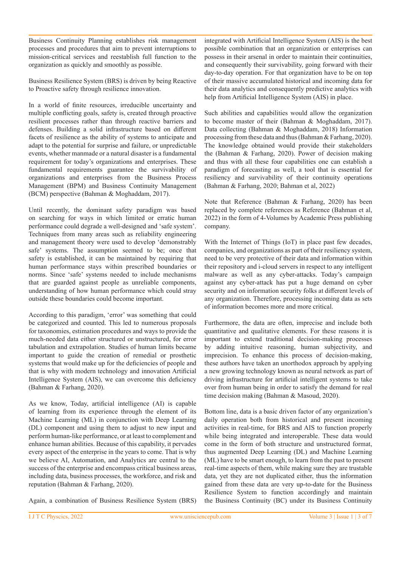Business Continuity Planning establishes risk management processes and procedures that aim to prevent interruptions to mission-critical services and reestablish full function to the organization as quickly and smoothly as possible.

Business Resilience System (BRS) is driven by being Reactive to Proactive safety through resilience innovation.

In a world of finite resources, irreducible uncertainty and multiple conflicting goals, safety is, created through proactive resilient processes rather than through reactive barriers and defenses. Building a solid infrastructure based on different facets of resilience as the ability of systems to anticipate and adapt to the potential for surprise and failure, or unpredictable events, whether manmade or a natural disaster is a fundamental requirement for today's organizations and enterprises. These fundamental requirements guarantee the survivability of organizations and enterprises from the Business Process Management (BPM) and Business Continuity Management (BCM) perspective (Bahman & Moghaddam, 2017).

Until recently, the dominant safety paradigm was based on searching for ways in which limited or erratic human performance could degrade a well-designed and 'safe system'. Techniques from many areas such as reliability engineering and management theory were used to develop 'demonstrably safe' systems. The assumption seemed to be; once that safety is established, it can be maintained by requiring that human performance stays within prescribed boundaries or norms. Since 'safe' systems needed to include mechanisms that are guarded against people as unreliable components, understanding of how human performance which could stray outside these boundaries could become important.

According to this paradigm, 'error' was something that could be categorized and counted. This led to numerous proposals for taxonomies, estimation procedures and ways to provide the much-needed data either structured or unstructured, for error tabulation and extrapolation. Studies of human limits became important to guide the creation of remedial or prosthetic systems that would make up for the deficiencies of people and that is why with modern technology and innovation Artificial Intelligence System (AIS), we can overcome this deficiency (Bahman & Farhang, 2020).

As we know, Today, artificial intelligence (AI) is capable of learning from its experience through the element of its Machine Learning (ML) in conjunction with Deep Learning (DL) component and using them to adjust to new input and perform human-like performance, or at least to complement and enhance human abilities. Because of this capability, it pervades every aspect of the enterprise in the years to come. That is why we believe AI, Automation, and Analytics are central to the success of the enterprise and encompass critical business areas, including data, business processes, the workforce, and risk and reputation (Bahman & Farhang, 2020).

Again, a combination of Business Resilience System (BRS)

integrated with Artificial Intelligence System (AIS) is the best possible combination that an organization or enterprises can possess in their arsenal in order to maintain their continuities, and consequently their survivability, going forward with their day-to-day operation. For that organization have to be on top of their massive accumulated historical and incoming data for their data analytics and consequently predictive analytics with help from Artificial Intelligence System (AIS) in place.

Such abilities and capabilities would allow the organization to become master of their (Bahman & Moghaddam, 2017). Data collecting (Bahman & Moghaddam, 2018) Information processing from these data and thus (Bahman & Farhang, 2020). The knowledge obtained would provide their stakeholders the (Bahman & Farhang, 2020). Power of decision making and thus with all these four capabilities one can establish a paradigm of forecasting as well, a tool that is essential for resiliency and survivability of their continuity operations (Bahman & Farhang, 2020; Bahman et al, 2022)

Note that Reference (Bahman & Farhang, 2020) has been replaced by complete references as Reference (Bahman et al, 2022) in the form of 4-Volumes by Academic Press publishing company.

With the Internet of Things (IoT) in place past few decades, companies, and organizations as part of their resiliency system, need to be very protective of their data and information within their repository and i-cloud servers in respect to any intelligent malware as well as any cyber-attacks. Today's campaign against any cyber-attack has put a huge demand on cyber security and on information security folks at different levels of any organization. Therefore, processing incoming data as sets of information becomes more and more critical.

Furthermore, the data are often, imprecise and include both quantitative and qualitative elements. For these reasons it is important to extend traditional decision-making processes by adding intuitive reasoning, human subjectivity, and imprecision. To enhance this process of decision-making, these authors have taken an unorthodox approach by applying a new growing technology known as neural network as part of driving infrastructure for artificial intelligent systems to take over from human being in order to satisfy the demand for real time decision making (Bahman & Masoud, 2020).

Bottom line, data is a basic driven factor of any organization's daily operation both from historical and present incoming activities in real-time, for BRS and AIS to function properly while being integrated and interoperable. These data would come in the form of both structure and unstructured format, thus augmented Deep Learning (DL) and Machine Learning (ML) have to be smart enough, to learn from the past to present real-time aspects of them, while making sure they are trustable data, yet they are not duplicated either, thus the information gained from these data are very up-to-date for the Business Resilience System to function accordingly and maintain the Business Continuity (BC) under its Business Continuity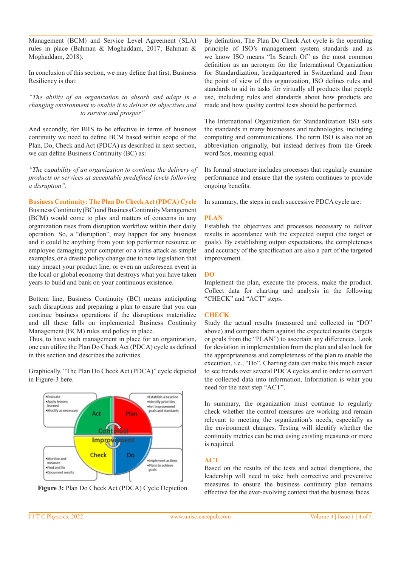Management (BCM) and Service Level Agreement (SLA) rules in place (Bahman & Moghaddam, 2017; Bahman & Moghaddam, 2018).

In conclusion of this section, we may define that first, Business Resiliency is that:

*"The ability of an organization to absorb and adapt in a changing environment to enable it to deliver its objectives and to survive and prosper"*

And secondly, for BRS to be effective in terms of business continuity we need to define BCM based within scope of the Plan, Do, Check and Act (PDCA) as described in next section, we can define Business Continuity (BC) as:

*"The capability of an organization to continue the delivery of products or services at acceptable predefined levels following a disruption".*

**Business Continuity: The Plan Do Check Act (PDCA) Cycle** Business Continuity (BC) and Business Continuity Management (BCM) would come to play and matters of concerns in any organization rises from disruption workflow within their daily operation. So, a "disruption", may happen for any business and it could be anything from your top performer resource or employee damaging your computer or a virus attack as simple examples, or a drastic policy change due to new legislation that may impact your product line, or even an unforeseen event in the local or global economy that destroys what you have taken years to build and bank on your continuous existence.

Bottom line, Business Continuity (BC) means anticipating such disruptions and preparing a plan to ensure that you can continue business operations if the disruptions materialize and all these falls on implemented Business Continuity Management (BCM) rules and policy in place.

Thus, to have such management in place for an organization, one can utilize the Plan Do Check Act (PDCA) cycle as defined in this section and describes the activities.

Graphically, "The Plan Do Check Act (PDCA)" cycle depicted in Figure-3 here.





By definition, The Plan Do Check Act cycle is the operating principle of ISO's management system standards and as we know ISO means "In Search Of" as the most common definition as an acronym for the International Organization for Standardization, headquartered in Switzerland and from the point of view of this organization, ISO defines rules and standards to aid in tasks for virtually all products that people use, including rules and standards about how products are made and how quality control tests should be performed.

The International Organization for Standardization ISO sets the standards in many businesses and technologies, including computing and communications. The term ISO is also not an abbreviation originally, but instead derives from the Greek word īsos, meaning equal.

Its formal structure includes processes that regularly examine performance and ensure that the system continues to provide ongoing benefits.

In summary, the steps in each successive PDCA cycle are:

#### **PLAN**

Establish the objectives and processes necessary to deliver results in accordance with the expected output (the target or goals). By establishing output expectations, the completeness and accuracy of the specification are also a part of the targeted improvement.

## **DO**

Implement the plan, execute the process, make the product. Collect data for charting and analysis in the following "CHECK" and "ACT" steps.

## **CHECK**

Study the actual results (measured and collected in "DO" above) and compare them against the expected results (targets or goals from the "PLAN") to ascertain any differences. Look for deviation in implementation from the plan and also look for the appropriateness and completeness of the plan to enable the execution, i.e., "Do". Charting data can make this much easier to see trends over several PDCA cycles and in order to convert the collected data into information. Information is what you need for the next step "ACT".

In summary, the organization must continue to regularly check whether the control measures are working and remain relevant to meeting the organization's needs, especially as the environment changes. Testing will identify whether the continuity metrics can be met using existing measures or more is required.

## **ACT**

Based on the results of the tests and actual disruptions, the leadership will need to take both corrective and preventive measures to ensure the business continuity plan remains effective for the ever-evolving context that the business faces.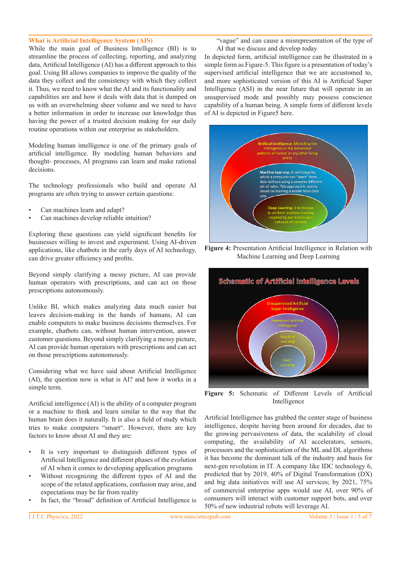#### **What is Artificial Intelligence System (AIS)**

While the main goal of Business Intelligence (BI) is to streamline the process of collecting, reporting, and analyzing data, Artificial Intelligence (AI) has a different approach to this goal. Using BI allows companies to improve the quality of the data they collect and the consistency with which they collect it. Thus, we need to know what the AI and its functionality and capabilities are and how it deals with data that is dumped on us with an overwhelming sheer volume and we need to have a better information in order to increase our knowledge thus having the power of a trusted decision making for our daily routine operations within our enterprise as stakeholders.

Modeling human intelligence is one of the primary goals of artificial intelligence. By modeling human behaviors and thought- processes, AI programs can learn and make rational decisions.

The technology professionals who build and operate AI programs are often trying to answer certain questions:

- Can machines learn and adapt?
- Can machines develop reliable intuition?

Exploring these questions can yield significant benefits for businesses willing to invest and experiment. Using AI-driven applications, like chatbots in the early days of AI technology, can drive greater efficiency and profits.

Beyond simply clarifying a messy picture, AI can provide human operators with prescriptions, and can act on those prescriptions autonomously.

Unlike BI, which makes analyzing data much easier but leaves decision-making in the hands of humans, AI can enable computers to make business decisions themselves. For example, chatbots can, without human intervention, answer customer questions. Beyond simply clarifying a messy picture, AI can provide human operators with prescriptions and can act on those prescriptions autonomously.

Considering what we have said about Artificial Intelligence (AI), the question now is what is AI? and how it works in a simple term.

Artificial intelligence (AI) is the ability of a computer program or a machine to think and learn similar to the way that the human brain does it naturally. It is also a field of study which tries to make computers "smart". However, there are key factors to know about AI and they are:

- It is very important to distinguish different types of Artificial Intelligence and different phases of the evolution of AI when it comes to developing application programs
- Without recognizing the different types of AI and the scope of the related applications, confusion may arise, and expectations may be far from reality
- In fact, the "broad" definition of Artificial Intelligence is

"vague" and can cause a misrepresentation of the type of AI that we discuss and develop today

In depicted form, artificial intelligence can be illustrated in a simple form as Figure-5. This figure is a presentation of today's supervised artificial intelligence that we are accustomed to, and more sophisticated version of this AI is Artificial Super Intelligence (ASI) in the near future that will operate in an unsupervised mode and possibly may possess conscience capability of a human being. A simple form of different levels of AI is depicted in Figure5 here.



**Figure 4:** Presentation Artificial Intelligence in Relation with Machine Learning and Deep Learning



**Figure 5:** Schematic of Different Levels of Artificial Intelligence

Artificial Intelligence has grabbed the center stage of business intelligence, despite having been around for decades, due to the growing pervasiveness of data, the scalability of cloud computing, the availability of AI accelerators, sensors, processors and the sophistication of the ML and DL algorithms it has become the dominant talk of the industry and basis for next-gen revolution in IT. A company like IDC technology 6, predicted that by 2019, 40% of Digital Transformation (DX) and big data initiatives will use AI services; by 2021, 75% of commercial enterprise apps would use AI, over 90% of consumers will interact with customer support bots, and over 50% of new industrial robots will leverage AI.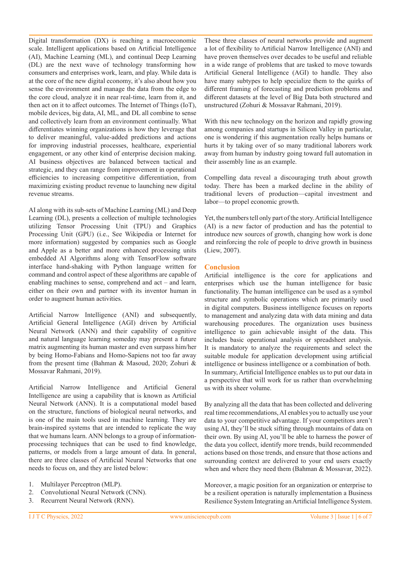Digital transformation (DX) is reaching a macroeconomic scale. Intelligent applications based on Artificial Intelligence (AI), Machine Learning (ML), and continual Deep Learning (DL) are the next wave of technology transforming how consumers and enterprises work, learn, and play. While data is at the core of the new digital economy, it's also about how you sense the environment and manage the data from the edge to the core cloud, analyze it in near real-time, learn from it, and then act on it to affect outcomes. The Internet of Things (IoT), mobile devices, big data, AI, ML, and DL all combine to sense and collectively learn from an environment continually. What differentiates winning organizations is how they leverage that to deliver meaningful, value-added predictions and actions for improving industrial processes, healthcare, experiential engagement, or any other kind of enterprise decision making. AI business objectives are balanced between tactical and strategic, and they can range from improvement in operational efficiencies to increasing competitive differentiation, from maximizing existing product revenue to launching new digital revenue streams.

AI along with its sub-sets of Machine Learning (ML) and Deep Learning (DL), presents a collection of multiple technologies utilizing Tensor Processing Unit (TPU) and Graphics Processing Unit (GPU) (i.e., See Wikipedia or Internet for more information) suggested by companies such as Google and Apple as a better and more enhanced processing units embedded AI Algorithms along with TensorFlow software interface hand-shaking with Python language written for command and control aspect of these algorithms are capable of enabling machines to sense, comprehend and act – and learn, either on their own and partner with its inventor human in order to augment human activities.

Artificial Narrow Intelligence (ANI) and subsequently, Artificial General Intelligence (AGI) driven by Artificial Neural Network (ANN) and their capability of cognitive and natural language learning someday may present a future matrix augmenting its human master and even surpass him/her by being Homo-Fabians and Homo-Sapiens not too far away from the present time (Bahman & Masoud, 2020; Zohuri & Mossavar Rahmani, 2019).

Artificial Narrow Intelligence and Artificial General Intelligence are using a capability that is known as Artificial Neural Network (ANN). It is a computational model based on the structure, functions of biological neural networks, and is one of the main tools used in machine learning. They are brain-inspired systems that are intended to replicate the way that we humans learn. ANN belongs to a group of informationprocessing techniques that can be used to find knowledge, patterns, or models from a large amount of data. In general, there are three classes of Artificial Neural Networks that one needs to focus on, and they are listed below:

- 1. Multilayer Perceptron (MLP).
- 2. Convolutional Neural Network (CNN).
- 3. Recurrent Neural Network (RNN).

These three classes of neural networks provide and augment a lot of flexibility to Artificial Narrow Intelligence (ANI) and have proven themselves over decades to be useful and reliable in a wide range of problems that are tasked to move towards Artificial General Intelligence (AGI) to handle. They also have many subtypes to help specialize them to the quirks of different framing of forecasting and prediction problems and different datasets at the level of Big Data both structured and unstructured (Zohuri & Mossavar Rahmani, 2019).

With this new technology on the horizon and rapidly growing among companies and startups in Silicon Valley in particular, one is wondering if this augmentation really helps humans or hurts it by taking over of so many traditional laborers work away from human by industry going toward full automation in their assembly line as an example.

Compelling data reveal a discouraging truth about growth today. There has been a marked decline in the ability of traditional levers of production—capital investment and labor—to propel economic growth.

Yet, the numbers tell only part of the story. Artificial Intelligence (AI) is a new factor of production and has the potential to introduce new sources of growth, changing how work is done and reinforcing the role of people to drive growth in business (Liew, 2007).

# **Conclusion**

Artificial intelligence is the core for applications and enterprises which use the human intelligence for basic functionality. The human intelligence can be used as a symbol structure and symbolic operations which are primarily used in digital computers. Business intelligence focuses on reports to management and analyzing data with data mining and data warehousing procedures. The organization uses business intelligence to gain achievable insight of the data. This includes basic operational analysis or spreadsheet analysis. It is mandatory to analyze the requirements and select the suitable module for application development using artificial intelligence or business intelligence or a combination of both. In summary, Artificial Intelligence enables us to put our data in a perspective that will work for us rather than overwhelming us with its sheer volume.

By analyzing all the data that has been collected and delivering real time recommendations, AI enables you to actually use your data to your competitive advantage. If your competitors aren't using AI, they'll be stuck sifting through mountains of data on their own. By using AI, you'll be able to harness the power of the data you collect, identify more trends, build recommended actions based on those trends, and ensure that those actions and surrounding context are delivered to your end users exactly when and where they need them (Bahman & Mossavar, 2022).

Moreover, a magic position for an organization or enterprise to be a resilient operation is naturally implementation a Business Resilience System Integrating an Artificial Intelligence System.